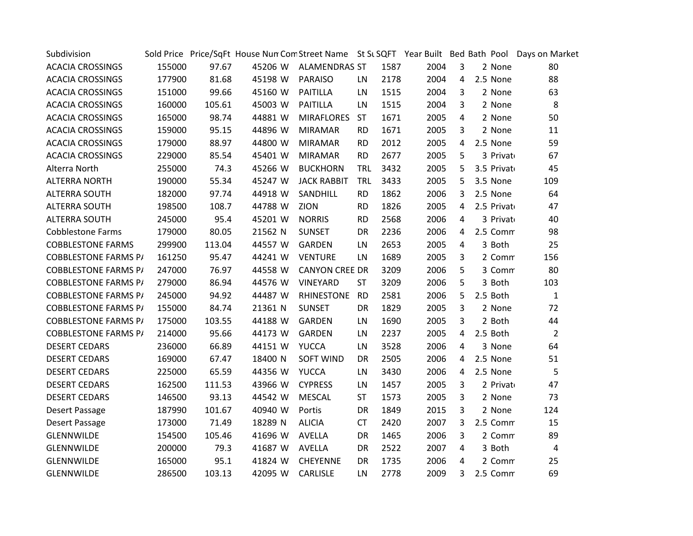| Subdivision                 |        |        |         |                       |            |      |      |                |             | Sold Price Price/SqFt House Nun Com Street Name St SL SQFT Year Built Bed Bath Pool Days on Market |
|-----------------------------|--------|--------|---------|-----------------------|------------|------|------|----------------|-------------|----------------------------------------------------------------------------------------------------|
| <b>ACACIA CROSSINGS</b>     | 155000 | 97.67  | 45206 W | <b>ALAMENDRAS ST</b>  |            | 1587 | 2004 | 3              | 2 None      | 80                                                                                                 |
| <b>ACACIA CROSSINGS</b>     | 177900 | 81.68  | 45198 W | <b>PARAISO</b>        | LN         | 2178 | 2004 | 4              | 2.5 None    | 88                                                                                                 |
| <b>ACACIA CROSSINGS</b>     | 151000 | 99.66  | 45160 W | <b>PAITILLA</b>       | LN         | 1515 | 2004 | 3              | 2 None      | 63                                                                                                 |
| <b>ACACIA CROSSINGS</b>     | 160000 | 105.61 | 45003 W | <b>PAITILLA</b>       | LN.        | 1515 | 2004 | $\overline{3}$ | 2 None      | 8                                                                                                  |
| <b>ACACIA CROSSINGS</b>     | 165000 | 98.74  | 44881 W | <b>MIRAFLORES</b>     | <b>ST</b>  | 1671 | 2005 | 4              | 2 None      | 50                                                                                                 |
| <b>ACACIA CROSSINGS</b>     | 159000 | 95.15  | 44896 W | <b>MIRAMAR</b>        | <b>RD</b>  | 1671 | 2005 | 3              | 2 None      | 11                                                                                                 |
| <b>ACACIA CROSSINGS</b>     | 179000 | 88.97  | 44800 W | <b>MIRAMAR</b>        | <b>RD</b>  | 2012 | 2005 | 4              | 2.5 None    | 59                                                                                                 |
| <b>ACACIA CROSSINGS</b>     | 229000 | 85.54  | 45401 W | <b>MIRAMAR</b>        | <b>RD</b>  | 2677 | 2005 | 5              | 3 Privato   | 67                                                                                                 |
| Alterra North               | 255000 | 74.3   | 45266 W | <b>BUCKHORN</b>       | <b>TRL</b> | 3432 | 2005 | 5              | 3.5 Privato | 45                                                                                                 |
| <b>ALTERRA NORTH</b>        | 190000 | 55.34  | 45247 W | <b>JACK RABBIT</b>    | TRL        | 3433 | 2005 | 5              | 3.5 None    | 109                                                                                                |
| <b>ALTERRA SOUTH</b>        | 182000 | 97.74  | 44918 W | SANDHILL              | <b>RD</b>  | 1862 | 2006 | 3              | 2.5 None    | 64                                                                                                 |
| <b>ALTERRA SOUTH</b>        | 198500 | 108.7  | 44788 W | ZION                  | <b>RD</b>  | 1826 | 2005 | 4              | 2.5 Privato | 47                                                                                                 |
| <b>ALTERRA SOUTH</b>        | 245000 | 95.4   | 45201 W | <b>NORRIS</b>         | <b>RD</b>  | 2568 | 2006 | 4              | 3 Privato   | 40                                                                                                 |
| <b>Cobblestone Farms</b>    | 179000 | 80.05  | 21562 N | <b>SUNSET</b>         | DR         | 2236 | 2006 | 4              | 2.5 Comm    | 98                                                                                                 |
| <b>COBBLESTONE FARMS</b>    | 299900 | 113.04 | 44557 W | GARDEN                | LN.        | 2653 | 2005 | 4              | 3 Both      | 25                                                                                                 |
| <b>COBBLESTONE FARMS P/</b> | 161250 | 95.47  | 44241 W | <b>VENTURE</b>        | LN         | 1689 | 2005 | $\mathbf{3}$   | 2 Comm      | 156                                                                                                |
| <b>COBBLESTONE FARMS P/</b> | 247000 | 76.97  | 44558 W | <b>CANYON CREE DR</b> |            | 3209 | 2006 | 5              | 3 Comm      | 80                                                                                                 |
| <b>COBBLESTONE FARMS P/</b> | 279000 | 86.94  | 44576 W | VINEYARD              | <b>ST</b>  | 3209 | 2006 | 5              | 3 Both      | 103                                                                                                |
| <b>COBBLESTONE FARMS P/</b> | 245000 | 94.92  | 44487 W | RHINESTONE            | <b>RD</b>  | 2581 | 2006 | 5              | 2.5 Both    | $\mathbf{1}$                                                                                       |
| <b>COBBLESTONE FARMS P/</b> | 155000 | 84.74  | 21361 N | <b>SUNSET</b>         | <b>DR</b>  | 1829 | 2005 | $\overline{3}$ | 2 None      | 72                                                                                                 |
| <b>COBBLESTONE FARMS P/</b> | 175000 | 103.55 | 44188 W | <b>GARDEN</b>         | LN         | 1690 | 2005 | 3              | 2 Both      | 44                                                                                                 |
| <b>COBBLESTONE FARMS P/</b> | 214000 | 95.66  | 44173 W | GARDEN                | LN         | 2237 | 2005 | 4              | 2.5 Both    | $\overline{2}$                                                                                     |
| <b>DESERT CEDARS</b>        | 236000 | 66.89  | 44151 W | <b>YUCCA</b>          | LN         | 3528 | 2006 | 4              | 3 None      | 64                                                                                                 |
| <b>DESERT CEDARS</b>        | 169000 | 67.47  | 18400 N | <b>SOFT WIND</b>      | DR         | 2505 | 2006 | 4              | 2.5 None    | 51                                                                                                 |
| <b>DESERT CEDARS</b>        | 225000 | 65.59  | 44356 W | <b>YUCCA</b>          | LN         | 3430 | 2006 | 4              | 2.5 None    | 5                                                                                                  |
| <b>DESERT CEDARS</b>        | 162500 | 111.53 | 43966 W | <b>CYPRESS</b>        | LN         | 1457 | 2005 | 3              | 2 Privato   | 47                                                                                                 |
| <b>DESERT CEDARS</b>        | 146500 | 93.13  | 44542 W | <b>MESCAL</b>         | <b>ST</b>  | 1573 | 2005 | 3              | 2 None      | 73                                                                                                 |
| Desert Passage              | 187990 | 101.67 | 40940 W | Portis                | <b>DR</b>  | 1849 | 2015 | 3              | 2 None      | 124                                                                                                |
| Desert Passage              | 173000 | 71.49  | 18289 N | <b>ALICIA</b>         | <b>CT</b>  | 2420 | 2007 | 3              | 2.5 Comm    | 15                                                                                                 |
| GLENNWILDE                  | 154500 | 105.46 | 41696 W | <b>AVELLA</b>         | <b>DR</b>  | 1465 | 2006 | $\mathbf{3}$   | 2 Comm      | 89                                                                                                 |
| GLENNWILDE                  | 200000 | 79.3   | 41687 W | AVELLA                | <b>DR</b>  | 2522 | 2007 | 4              | 3 Both      | $\overline{4}$                                                                                     |
| GLENNWILDE                  | 165000 | 95.1   | 41824 W | CHEYENNE              | DR         | 1735 | 2006 | 4              | 2 Comm      | 25                                                                                                 |
| GLENNWILDE                  | 286500 | 103.13 | 42095 W | CARLISLE              | LN         | 2778 | 2009 | 3              | 2.5 Comm    | 69                                                                                                 |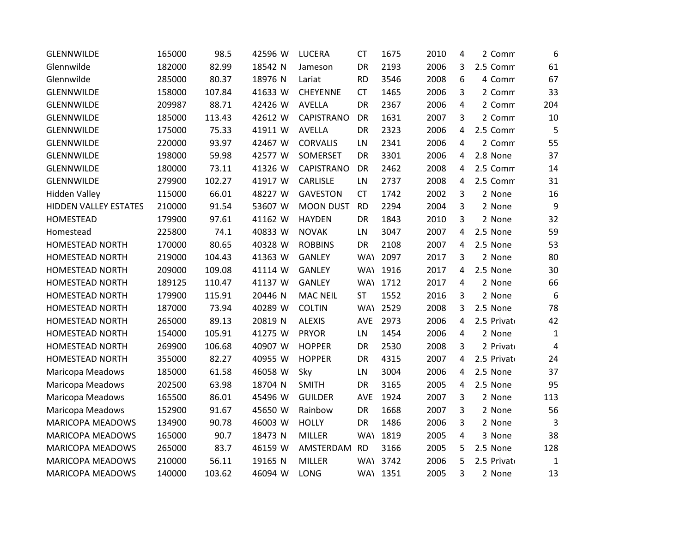| <b>GLENNWILDE</b>       | 165000 | 98.5   | 42596 W | <b>LUCERA</b>     | <b>CT</b>  | 1675     | 2010 | 4              | 2 Comm      | 6              |
|-------------------------|--------|--------|---------|-------------------|------------|----------|------|----------------|-------------|----------------|
| Glennwilde              | 182000 | 82.99  | 18542 N | Jameson           | <b>DR</b>  | 2193     | 2006 | 3              | 2.5 Comm    | 61             |
| Glennwilde              | 285000 | 80.37  | 18976 N | Lariat            | <b>RD</b>  | 3546     | 2008 | 6              | 4 Comm      | 67             |
| <b>GLENNWILDE</b>       | 158000 | 107.84 | 41633 W | <b>CHEYENNE</b>   | <b>CT</b>  | 1465     | 2006 | 3              | 2 Comm      | 33             |
| GLENNWILDE              | 209987 | 88.71  | 42426 W | <b>AVELLA</b>     | DR         | 2367     | 2006 | 4              | 2 Comm      | 204            |
| GLENNWILDE              | 185000 | 113.43 | 42612 W | <b>CAPISTRANO</b> | DR         | 1631     | 2007 | 3              | 2 Comm      | 10             |
| GLENNWILDE              | 175000 | 75.33  | 41911 W | <b>AVELLA</b>     | <b>DR</b>  | 2323     | 2006 | 4              | 2.5 Comm    | 5              |
| <b>GLENNWILDE</b>       | 220000 | 93.97  | 42467 W | <b>CORVALIS</b>   | LN         | 2341     | 2006 | 4              | 2 Comm      | 55             |
| GLENNWILDE              | 198000 | 59.98  | 42577 W | SOMERSET          | DR         | 3301     | 2006 | 4              | 2.8 None    | 37             |
| GLENNWILDE              | 180000 | 73.11  | 41326 W | <b>CAPISTRANO</b> | <b>DR</b>  | 2462     | 2008 | 4              | 2.5 Comm    | 14             |
| GLENNWILDE              | 279900 | 102.27 | 41917 W | CARLISLE          | LN         | 2737     | 2008 | 4              | 2.5 Comm    | 31             |
| <b>Hidden Valley</b>    | 115000 | 66.01  | 48227 W | <b>GAVESTON</b>   | <b>CT</b>  | 1742     | 2002 | 3              | 2 None      | 16             |
| HIDDEN VALLEY ESTATES   | 210000 | 91.54  | 53607 W | <b>MOON DUST</b>  | <b>RD</b>  | 2294     | 2004 | 3              | 2 None      | 9              |
| HOMESTEAD               | 179900 | 97.61  | 41162 W | <b>HAYDEN</b>     | DR         | 1843     | 2010 | 3              | 2 None      | 32             |
| Homestead               | 225800 | 74.1   | 40833 W | <b>NOVAK</b>      | LN         | 3047     | 2007 | 4              | 2.5 None    | 59             |
| HOMESTEAD NORTH         | 170000 | 80.65  | 40328 W | <b>ROBBINS</b>    | DR         | 2108     | 2007 | 4              | 2.5 None    | 53             |
| <b>HOMESTEAD NORTH</b>  | 219000 | 104.43 | 41363 W | <b>GANLEY</b>     |            | WAY 2097 | 2017 | 3              | 2 None      | 80             |
| HOMESTEAD NORTH         | 209000 | 109.08 | 41114 W | <b>GANLEY</b>     |            | WAY 1916 | 2017 | 4              | 2.5 None    | 30             |
| <b>HOMESTEAD NORTH</b>  | 189125 | 110.47 | 41137 W | <b>GANLEY</b>     |            | WAY 1712 | 2017 | $\overline{4}$ | 2 None      | 66             |
| <b>HOMESTEAD NORTH</b>  | 179900 | 115.91 | 20446 N | <b>MAC NEIL</b>   | <b>ST</b>  | 1552     | 2016 | 3              | 2 None      | 6              |
| HOMESTEAD NORTH         | 187000 | 73.94  | 40289 W | <b>COLTIN</b>     |            | WAY 2529 | 2008 | 3              | 2.5 None    | 78             |
| <b>HOMESTEAD NORTH</b>  | 265000 | 89.13  | 20819 N | <b>ALEXIS</b>     | AVE        | 2973     | 2006 | 4              | 2.5 Private | 42             |
| HOMESTEAD NORTH         | 154000 | 105.91 | 41275 W | <b>PRYOR</b>      | LN         | 1454     | 2006 | 4              | 2 None      | $\mathbf{1}$   |
| <b>HOMESTEAD NORTH</b>  | 269900 | 106.68 | 40907 W | <b>HOPPER</b>     | DR         | 2530     | 2008 | 3              | 2 Privato   | $\overline{4}$ |
| <b>HOMESTEAD NORTH</b>  | 355000 | 82.27  | 40955 W | <b>HOPPER</b>     | DR         | 4315     | 2007 | 4              | 2.5 Private | 24             |
| Maricopa Meadows        | 185000 | 61.58  | 46058 W | Sky               | LN         | 3004     | 2006 | 4              | 2.5 None    | 37             |
| Maricopa Meadows        | 202500 | 63.98  | 18704 N | <b>SMITH</b>      | <b>DR</b>  | 3165     | 2005 | 4              | 2.5 None    | 95             |
| Maricopa Meadows        | 165500 | 86.01  | 45496 W | <b>GUILDER</b>    | <b>AVE</b> | 1924     | 2007 | 3              | 2 None      | 113            |
| Maricopa Meadows        | 152900 | 91.67  | 45650 W | Rainbow           | DR         | 1668     | 2007 | 3              | 2 None      | 56             |
| <b>MARICOPA MEADOWS</b> | 134900 | 90.78  | 46003 W | <b>HOLLY</b>      | DR         | 1486     | 2006 | 3              | 2 None      | 3              |
| MARICOPA MEADOWS        | 165000 | 90.7   | 18473 N | MILLER            |            | WAY 1819 | 2005 | 4              | 3 None      | 38             |
| <b>MARICOPA MEADOWS</b> | 265000 | 83.7   | 46159 W | AMSTERDAM         | <b>RD</b>  | 3166     | 2005 | 5              | 2.5 None    | 128            |
| <b>MARICOPA MEADOWS</b> | 210000 | 56.11  | 19165 N | <b>MILLER</b>     |            | WAY 3742 | 2006 | 5              | 2.5 Private | $\mathbf{1}$   |
| <b>MARICOPA MEADOWS</b> | 140000 | 103.62 | 46094 W | LONG              |            | WAY 1351 | 2005 | 3              | 2 None      | 13             |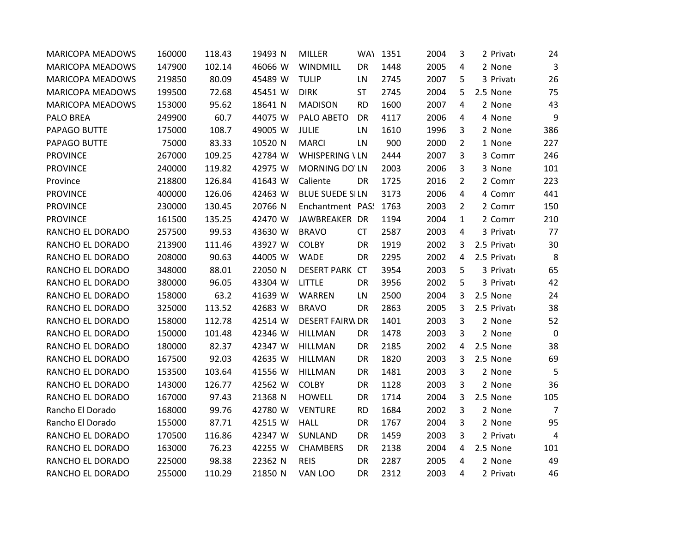| <b>MARICOPA MEADOWS</b> | 160000 | 118.43 | 19493 N | <b>MILLER</b>          |           | WAY 1351 | 2004 | 3              | 2 Privato   | 24             |
|-------------------------|--------|--------|---------|------------------------|-----------|----------|------|----------------|-------------|----------------|
| <b>MARICOPA MEADOWS</b> | 147900 | 102.14 | 46066 W | WINDMILL               | DR        | 1448     | 2005 | 4              | 2 None      | 3              |
| <b>MARICOPA MEADOWS</b> | 219850 | 80.09  | 45489 W | <b>TULIP</b>           | LN        | 2745     | 2007 | 5              | 3 Privato   | 26             |
| <b>MARICOPA MEADOWS</b> | 199500 | 72.68  | 45451 W | <b>DIRK</b>            | ST        | 2745     | 2004 | 5              | 2.5 None    | 75             |
| <b>MARICOPA MEADOWS</b> | 153000 | 95.62  | 18641 N | <b>MADISON</b>         | <b>RD</b> | 1600     | 2007 | 4              | 2 None      | 43             |
| PALO BREA               | 249900 | 60.7   | 44075 W | PALO ABETO             | DR        | 4117     | 2006 | 4              | 4 None      | 9              |
| PAPAGO BUTTE            | 175000 | 108.7  | 49005 W | <b>JULIE</b>           | LN        | 1610     | 1996 | 3              | 2 None      | 386            |
| PAPAGO BUTTE            | 75000  | 83.33  | 10520 N | <b>MARCI</b>           | LN        | 900      | 2000 | 2              | 1 None      | 227            |
| <b>PROVINCE</b>         | 267000 | 109.25 | 42784 W | <b>WHISPERING VLN</b>  |           | 2444     | 2007 | 3              | 3 Comm      | 246            |
| <b>PROVINCE</b>         | 240000 | 119.82 | 42975 W | MORNING DO'LN          |           | 2003     | 2006 | 3              | 3 None      | 101            |
| Province                | 218800 | 126.84 | 41643 W | Caliente               | DR        | 1725     | 2016 | $\overline{2}$ | 2 Comm      | 223            |
| <b>PROVINCE</b>         | 400000 | 126.06 | 42463 W | <b>BLUE SUEDE SILN</b> |           | 3173     | 2006 | 4              | 4 Comm      | 441            |
| <b>PROVINCE</b>         | 230000 | 130.45 | 20766 N | Enchantment PAS: 1763  |           |          | 2003 | 2              | 2 Comm      | 150            |
| <b>PROVINCE</b>         | 161500 | 135.25 | 42470 W | JAWBREAKER DR          |           | 1194     | 2004 | $\mathbf{1}$   | 2 Comm      | 210            |
| RANCHO EL DORADO        | 257500 | 99.53  | 43630 W | <b>BRAVO</b>           | <b>CT</b> | 2587     | 2003 | 4              | 3 Privato   | 77             |
| RANCHO EL DORADO        | 213900 | 111.46 | 43927 W | <b>COLBY</b>           | DR        | 1919     | 2002 | 3              | 2.5 Privato | 30             |
| RANCHO EL DORADO        | 208000 | 90.63  | 44005 W | <b>WADE</b>            | <b>DR</b> | 2295     | 2002 | 4              | 2.5 Privato | 8              |
| RANCHO EL DORADO        | 348000 | 88.01  | 22050 N | DESERT PARK CT         |           | 3954     | 2003 | 5              | 3 Privato   | 65             |
| RANCHO EL DORADO        | 380000 | 96.05  | 43304 W | LITTLE                 | DR        | 3956     | 2002 | 5              | 3 Privato   | 42             |
| RANCHO EL DORADO        | 158000 | 63.2   | 41639 W | WARREN                 | LN        | 2500     | 2004 | 3              | 2.5 None    | 24             |
| RANCHO EL DORADO        | 325000 | 113.52 | 42683 W | <b>BRAVO</b>           | DR        | 2863     | 2005 | 3              | 2.5 Privato | 38             |
| RANCHO EL DORADO        | 158000 | 112.78 | 42514 W | <b>DESERT FAIRW DR</b> |           | 1401     | 2003 | 3              | 2 None      | 52             |
| RANCHO EL DORADO        | 150000 | 101.48 | 42346 W | <b>HILLMAN</b>         | DR        | 1478     | 2003 | 3              | 2 None      | $\mathbf 0$    |
| RANCHO EL DORADO        | 180000 | 82.37  | 42347 W | <b>HILLMAN</b>         | DR        | 2185     | 2002 | 4              | 2.5 None    | 38             |
| RANCHO EL DORADO        | 167500 | 92.03  | 42635 W | <b>HILLMAN</b>         | DR        | 1820     | 2003 | 3              | 2.5 None    | 69             |
| RANCHO EL DORADO        | 153500 | 103.64 | 41556 W | <b>HILLMAN</b>         | DR        | 1481     | 2003 | 3              | 2 None      | 5              |
| RANCHO EL DORADO        | 143000 | 126.77 | 42562 W | <b>COLBY</b>           | DR        | 1128     | 2003 | 3              | 2 None      | 36             |
| RANCHO EL DORADO        | 167000 | 97.43  | 21368 N | <b>HOWELL</b>          | DR        | 1714     | 2004 | 3              | 2.5 None    | 105            |
| Rancho El Dorado        | 168000 | 99.76  | 42780 W | <b>VENTURE</b>         | <b>RD</b> | 1684     | 2002 | 3              | 2 None      | $\overline{7}$ |
| Rancho El Dorado        | 155000 | 87.71  | 42515 W | <b>HALL</b>            | DR        | 1767     | 2004 | 3              | 2 None      | 95             |
| RANCHO EL DORADO        | 170500 | 116.86 | 42347 W | SUNLAND                | DR        | 1459     | 2003 | 3              | 2 Privato   | $\overline{4}$ |
| RANCHO EL DORADO        | 163000 | 76.23  | 42255 W | <b>CHAMBERS</b>        | DR        | 2138     | 2004 | 4              | 2.5 None    | 101            |
| RANCHO EL DORADO        | 225000 | 98.38  | 22362 N | <b>REIS</b>            | <b>DR</b> | 2287     | 2005 | 4              | 2 None      | 49             |
| RANCHO EL DORADO        | 255000 | 110.29 | 21850 N | VAN LOO                | DR        | 2312     | 2003 | 4              | 2 Privato   | 46             |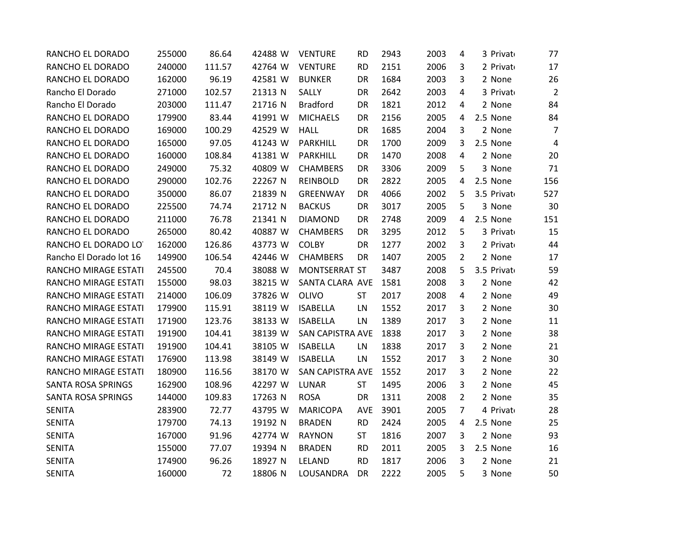| RANCHO EL DORADO        | 255000 | 86.64  | 42488 W | <b>VENTURE</b>   | <b>RD</b> | 2943 | 2003 | 4              | 3 Privato   | 77             |
|-------------------------|--------|--------|---------|------------------|-----------|------|------|----------------|-------------|----------------|
| RANCHO EL DORADO        | 240000 | 111.57 | 42764 W | <b>VENTURE</b>   | <b>RD</b> | 2151 | 2006 | 3              | 2 Privato   | 17             |
| RANCHO EL DORADO        | 162000 | 96.19  | 42581 W | <b>BUNKER</b>    | DR        | 1684 | 2003 | 3              | 2 None      | 26             |
| Rancho El Dorado        | 271000 | 102.57 | 21313 N | SALLY            | DR        | 2642 | 2003 | 4              | 3 Privato   | $\overline{2}$ |
| Rancho El Dorado        | 203000 | 111.47 | 21716 N | <b>Bradford</b>  | DR        | 1821 | 2012 | 4              | 2 None      | 84             |
| RANCHO EL DORADO        | 179900 | 83.44  | 41991 W | <b>MICHAELS</b>  | DR        | 2156 | 2005 | 4              | 2.5 None    | 84             |
| RANCHO EL DORADO        | 169000 | 100.29 | 42529 W | <b>HALL</b>      | DR        | 1685 | 2004 | 3              | 2 None      | $\overline{7}$ |
| RANCHO EL DORADO        | 165000 | 97.05  | 41243 W | <b>PARKHILL</b>  | DR        | 1700 | 2009 | 3              | 2.5 None    | $\overline{4}$ |
| RANCHO EL DORADO        | 160000 | 108.84 | 41381 W | <b>PARKHILL</b>  | DR        | 1470 | 2008 | 4              | 2 None      | 20             |
| RANCHO EL DORADO        | 249000 | 75.32  | 40809 W | <b>CHAMBERS</b>  | DR        | 3306 | 2009 | 5              | 3 None      | 71             |
| RANCHO EL DORADO        | 290000 | 102.76 | 22267 N | <b>REINBOLD</b>  | DR        | 2822 | 2005 | 4              | 2.5 None    | 156            |
| RANCHO EL DORADO        | 350000 | 86.07  | 21839 N | <b>GREENWAY</b>  | DR        | 4066 | 2002 | 5              | 3.5 Privato | 527            |
| RANCHO EL DORADO        | 225500 | 74.74  | 21712 N | <b>BACKUS</b>    | DR        | 3017 | 2005 | 5              | 3 None      | 30             |
| RANCHO EL DORADO        | 211000 | 76.78  | 21341 N | <b>DIAMOND</b>   | DR        | 2748 | 2009 | 4              | 2.5 None    | 151            |
| RANCHO EL DORADO        | 265000 | 80.42  | 40887 W | <b>CHAMBERS</b>  | DR        | 3295 | 2012 | 5              | 3 Privato   | 15             |
| RANCHO EL DORADO LO     | 162000 | 126.86 | 43773 W | <b>COLBY</b>     | DR        | 1277 | 2002 | 3              | 2 Privato   | 44             |
| Rancho El Dorado lot 16 | 149900 | 106.54 | 42446 W | <b>CHAMBERS</b>  | DR        | 1407 | 2005 | $\overline{2}$ | 2 None      | 17             |
| RANCHO MIRAGE ESTATI    | 245500 | 70.4   | 38088 W | MONTSERRAT ST    |           | 3487 | 2008 | 5              | 3.5 Privato | 59             |
| RANCHO MIRAGE ESTATI    | 155000 | 98.03  | 38215 W | SANTA CLARA AVE  |           | 1581 | 2008 | 3              | 2 None      | 42             |
| RANCHO MIRAGE ESTATI    | 214000 | 106.09 | 37826 W | OLIVO            | ST        | 2017 | 2008 | $\overline{4}$ | 2 None      | 49             |
| RANCHO MIRAGE ESTATI    | 179900 | 115.91 | 38119 W | <b>ISABELLA</b>  | LN        | 1552 | 2017 | 3              | 2 None      | 30             |
| RANCHO MIRAGE ESTATI    | 171900 | 123.76 | 38133 W | <b>ISABELLA</b>  | LN        | 1389 | 2017 | 3              | 2 None      | 11             |
| RANCHO MIRAGE ESTATI    | 191900 | 104.41 | 38139 W | SAN CAPISTRA AVE |           | 1838 | 2017 | 3              | 2 None      | 38             |
| RANCHO MIRAGE ESTATI    | 191900 | 104.41 | 38105 W | <b>ISABELLA</b>  | LN        | 1838 | 2017 | 3              | 2 None      | 21             |
| RANCHO MIRAGE ESTATI    | 176900 | 113.98 | 38149 W | <b>ISABELLA</b>  | LN        | 1552 | 2017 | 3              | 2 None      | 30             |
| RANCHO MIRAGE ESTATI    | 180900 | 116.56 | 38170 W | SAN CAPISTRA AVE |           | 1552 | 2017 | 3              | 2 None      | 22             |
| SANTA ROSA SPRINGS      | 162900 | 108.96 | 42297 W | <b>LUNAR</b>     | <b>ST</b> | 1495 | 2006 | 3              | 2 None      | 45             |
| SANTA ROSA SPRINGS      | 144000 | 109.83 | 17263 N | <b>ROSA</b>      | DR        | 1311 | 2008 | 2              | 2 None      | 35             |
| <b>SENITA</b>           | 283900 | 72.77  | 43795 W | <b>MARICOPA</b>  | AVE       | 3901 | 2005 | $\overline{7}$ | 4 Privato   | 28             |
| <b>SENITA</b>           | 179700 | 74.13  | 19192 N | <b>BRADEN</b>    | <b>RD</b> | 2424 | 2005 | 4              | 2.5 None    | 25             |
| <b>SENITA</b>           | 167000 | 91.96  | 42774 W | <b>RAYNON</b>    | <b>ST</b> | 1816 | 2007 | 3              | 2 None      | 93             |
| <b>SENITA</b>           | 155000 | 77.07  | 19394 N | <b>BRADEN</b>    | <b>RD</b> | 2011 | 2005 | 3              | 2.5 None    | 16             |
| <b>SENITA</b>           | 174900 | 96.26  | 18927 N | LELAND           | <b>RD</b> | 1817 | 2006 | 3              | 2 None      | 21             |
| <b>SENITA</b>           | 160000 | 72     | 18806 N | LOUSANDRA        | <b>DR</b> | 2222 | 2005 | 5              | 3 None      | 50             |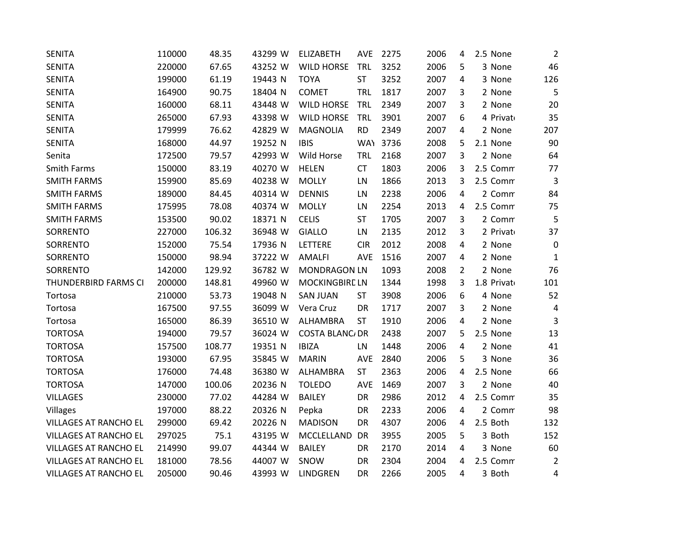| <b>SENITA</b>                | 110000 | 48.35  | 43299 W | <b>ELIZABETH</b>      | <b>AVE</b> | 2275     | 2006 | 4 | 2.5 None    | $\overline{2}$ |
|------------------------------|--------|--------|---------|-----------------------|------------|----------|------|---|-------------|----------------|
| <b>SENITA</b>                | 220000 | 67.65  | 43252 W | <b>WILD HORSE</b>     | <b>TRL</b> | 3252     | 2006 | 5 | 3 None      | 46             |
| <b>SENITA</b>                | 199000 | 61.19  | 19443 N | <b>TOYA</b>           | ST         | 3252     | 2007 | 4 | 3 None      | 126            |
| <b>SENITA</b>                | 164900 | 90.75  | 18404 N | COMET                 | TRL        | 1817     | 2007 | 3 | 2 None      | 5              |
| <b>SENITA</b>                | 160000 | 68.11  | 43448 W | <b>WILD HORSE</b>     | <b>TRL</b> | 2349     | 2007 | 3 | 2 None      | 20             |
| <b>SENITA</b>                | 265000 | 67.93  | 43398 W | <b>WILD HORSE</b>     | <b>TRL</b> | 3901     | 2007 | 6 | 4 Privato   | 35             |
| <b>SENITA</b>                | 179999 | 76.62  | 42829 W | <b>MAGNOLIA</b>       | <b>RD</b>  | 2349     | 2007 | 4 | 2 None      | 207            |
| <b>SENITA</b>                | 168000 | 44.97  | 19252 N | <b>IBIS</b>           |            | WAY 3736 | 2008 | 5 | 2.1 None    | 90             |
| Senita                       | 172500 | 79.57  | 42993 W | Wild Horse            | TRL        | 2168     | 2007 | 3 | 2 None      | 64             |
| Smith Farms                  | 150000 | 83.19  | 40270 W | <b>HELEN</b>          | <b>CT</b>  | 1803     | 2006 | 3 | 2.5 Comm    | 77             |
| <b>SMITH FARMS</b>           | 159900 | 85.69  | 40238 W | <b>MOLLY</b>          | LN         | 1866     | 2013 | 3 | 2.5 Comm    | $\mathbf{3}$   |
| <b>SMITH FARMS</b>           | 189000 | 84.45  | 40314 W | <b>DENNIS</b>         | LN         | 2238     | 2006 | 4 | 2 Comm      | 84             |
| <b>SMITH FARMS</b>           | 175995 | 78.08  | 40374 W | <b>MOLLY</b>          | LN         | 2254     | 2013 | 4 | 2.5 Comm    | 75             |
| <b>SMITH FARMS</b>           | 153500 | 90.02  | 18371 N | <b>CELIS</b>          | <b>ST</b>  | 1705     | 2007 | 3 | 2 Comm      | 5              |
| SORRENTO                     | 227000 | 106.32 | 36948 W | <b>GIALLO</b>         | LN         | 2135     | 2012 | 3 | 2 Privato   | 37             |
| SORRENTO                     | 152000 | 75.54  | 17936 N | LETTERE               | <b>CIR</b> | 2012     | 2008 | 4 | 2 None      | $\mathbf 0$    |
| SORRENTO                     | 150000 | 98.94  | 37222 W | <b>AMALFI</b>         | <b>AVE</b> | 1516     | 2007 | 4 | 2 None      | 1              |
| SORRENTO                     | 142000 | 129.92 | 36782 W | <b>MONDRAGON LN</b>   |            | 1093     | 2008 | 2 | 2 None      | 76             |
| THUNDERBIRD FARMS CI         | 200000 | 148.81 | 49960 W | <b>MOCKINGBIRE LN</b> |            | 1344     | 1998 | 3 | 1.8 Privato | 101            |
| Tortosa                      | 210000 | 53.73  | 19048 N | <b>SAN JUAN</b>       | <b>ST</b>  | 3908     | 2006 | 6 | 4 None      | 52             |
| Tortosa                      | 167500 | 97.55  | 36099 W | Vera Cruz             | DR         | 1717     | 2007 | 3 | 2 None      | 4              |
| Tortosa                      | 165000 | 86.39  | 36510 W | ALHAMBRA              | <b>ST</b>  | 1910     | 2006 | 4 | 2 None      | 3              |
| <b>TORTOSA</b>               | 194000 | 79.57  | 36024 W | <b>COSTA BLANC/DR</b> |            | 2438     | 2007 | 5 | 2.5 None    | 13             |
| <b>TORTOSA</b>               | 157500 | 108.77 | 19351 N | <b>IBIZA</b>          | LN         | 1448     | 2006 | 4 | 2 None      | 41             |
| <b>TORTOSA</b>               | 193000 | 67.95  | 35845 W | <b>MARIN</b>          | AVE        | 2840     | 2006 | 5 | 3 None      | 36             |
| <b>TORTOSA</b>               | 176000 | 74.48  | 36380 W | ALHAMBRA              | <b>ST</b>  | 2363     | 2006 | 4 | 2.5 None    | 66             |
| <b>TORTOSA</b>               | 147000 | 100.06 | 20236 N | <b>TOLEDO</b>         | <b>AVE</b> | 1469     | 2007 | 3 | 2 None      | 40             |
| <b>VILLAGES</b>              | 230000 | 77.02  | 44284 W | <b>BAILEY</b>         | DR         | 2986     | 2012 | 4 | 2.5 Comm    | 35             |
| Villages                     | 197000 | 88.22  | 20326 N | Pepka                 | DR         | 2233     | 2006 | 4 | 2 Comm      | 98             |
| <b>VILLAGES AT RANCHO EL</b> | 299000 | 69.42  | 20226 N | <b>MADISON</b>        | DR         | 4307     | 2006 | 4 | 2.5 Both    | 132            |
| VILLAGES AT RANCHO EL        | 297025 | 75.1   | 43195 W | MCCLELLAND            | <b>DR</b>  | 3955     | 2005 | 5 | 3 Both      | 152            |
| <b>VILLAGES AT RANCHO EL</b> | 214990 | 99.07  | 44344 W | <b>BAILEY</b>         | DR         | 2170     | 2014 | 4 | 3 None      | 60             |
| <b>VILLAGES AT RANCHO EL</b> | 181000 | 78.56  | 44007 W | SNOW                  | <b>DR</b>  | 2304     | 2004 | 4 | 2.5 Comm    | $\overline{2}$ |
| <b>VILLAGES AT RANCHO EL</b> | 205000 | 90.46  | 43993 W | <b>LINDGREN</b>       | <b>DR</b>  | 2266     | 2005 | 4 | 3 Both      | 4              |